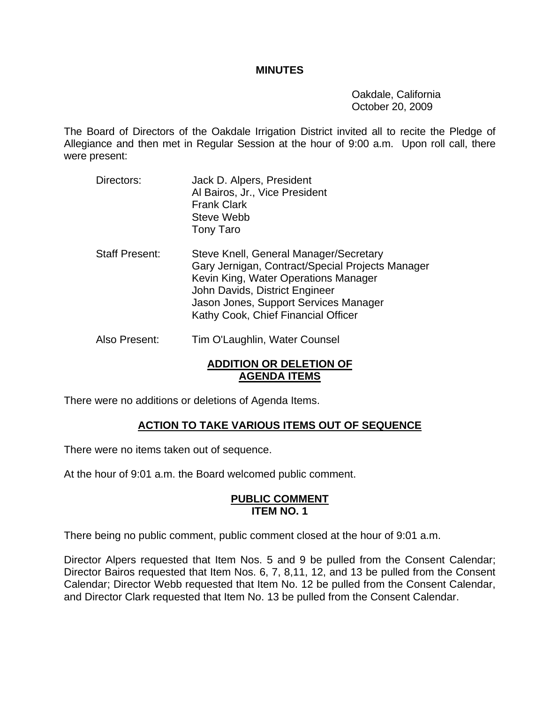## **MINUTES**

 Oakdale, California October 20, 2009

The Board of Directors of the Oakdale Irrigation District invited all to recite the Pledge of Allegiance and then met in Regular Session at the hour of 9:00 a.m. Upon roll call, there were present:

Directors: Jack D. Alpers, President Al Bairos, Jr., Vice President Frank Clark Steve Webb Tony Taro Staff Present: Steve Knell, General Manager/Secretary Gary Jernigan, Contract/Special Projects Manager Kevin King, Water Operations Manager John Davids, District Engineer Jason Jones, Support Services Manager Kathy Cook, Chief Financial Officer Also Present: Tim O'Laughlin, Water Counsel

# **ADDITION OR DELETION OF AGENDA ITEMS**

There were no additions or deletions of Agenda Items.

# **ACTION TO TAKE VARIOUS ITEMS OUT OF SEQUENCE**

There were no items taken out of sequence.

At the hour of 9:01 a.m. the Board welcomed public comment.

#### **PUBLIC COMMENT ITEM NO. 1**

There being no public comment, public comment closed at the hour of 9:01 a.m.

Director Alpers requested that Item Nos. 5 and 9 be pulled from the Consent Calendar; Director Bairos requested that Item Nos. 6, 7, 8,11, 12, and 13 be pulled from the Consent Calendar; Director Webb requested that Item No. 12 be pulled from the Consent Calendar, and Director Clark requested that Item No. 13 be pulled from the Consent Calendar.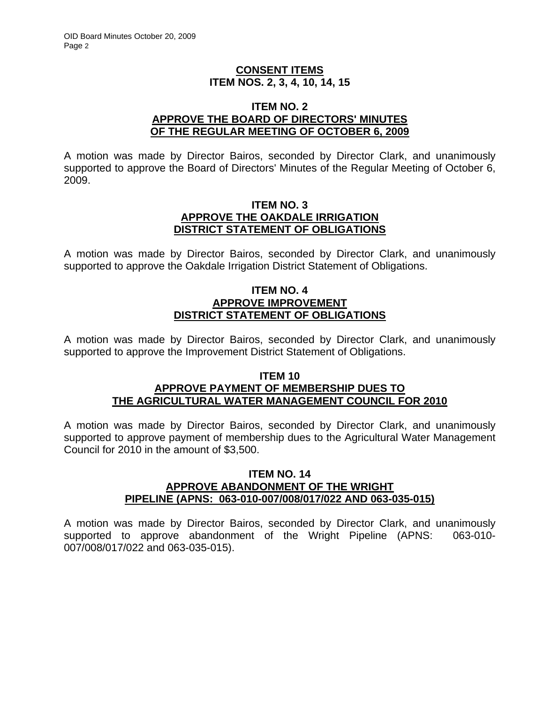# **CONSENT ITEMS ITEM NOS. 2, 3, 4, 10, 14, 15**

#### **ITEM NO. 2 APPROVE THE BOARD OF DIRECTORS' MINUTES OF THE REGULAR MEETING OF OCTOBER 6, 2009**

A motion was made by Director Bairos, seconded by Director Clark, and unanimously supported to approve the Board of Directors' Minutes of the Regular Meeting of October 6, 2009.

### **ITEM NO. 3 APPROVE THE OAKDALE IRRIGATION DISTRICT STATEMENT OF OBLIGATIONS**

A motion was made by Director Bairos, seconded by Director Clark, and unanimously supported to approve the Oakdale Irrigation District Statement of Obligations.

## **ITEM NO. 4 APPROVE IMPROVEMENT DISTRICT STATEMENT OF OBLIGATIONS**

A motion was made by Director Bairos, seconded by Director Clark, and unanimously supported to approve the Improvement District Statement of Obligations.

# **ITEM 10 APPROVE PAYMENT OF MEMBERSHIP DUES TO THE AGRICULTURAL WATER MANAGEMENT COUNCIL FOR 2010**

A motion was made by Director Bairos, seconded by Director Clark, and unanimously supported to approve payment of membership dues to the Agricultural Water Management Council for 2010 in the amount of \$3,500.

## **ITEM NO. 14 APPROVE ABANDONMENT OF THE WRIGHT PIPELINE (APNS: 063-010-007/008/017/022 AND 063-035-015)**

A motion was made by Director Bairos, seconded by Director Clark, and unanimously supported to approve abandonment of the Wright Pipeline (APNS: 063-010- 007/008/017/022 and 063-035-015).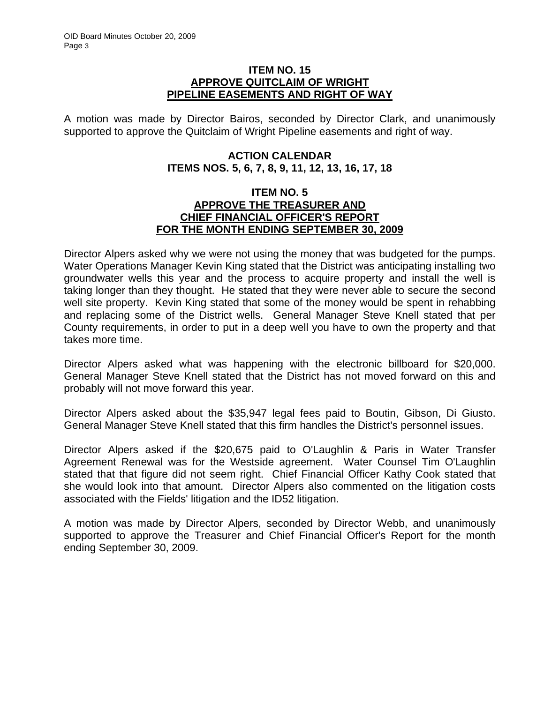#### **ITEM NO. 15 APPROVE QUITCLAIM OF WRIGHT PIPELINE EASEMENTS AND RIGHT OF WAY**

A motion was made by Director Bairos, seconded by Director Clark, and unanimously supported to approve the Quitclaim of Wright Pipeline easements and right of way.

# **ACTION CALENDAR ITEMS NOS. 5, 6, 7, 8, 9, 11, 12, 13, 16, 17, 18**

## **ITEM NO. 5 APPROVE THE TREASURER AND CHIEF FINANCIAL OFFICER'S REPORT FOR THE MONTH ENDING SEPTEMBER 30, 2009**

Director Alpers asked why we were not using the money that was budgeted for the pumps. Water Operations Manager Kevin King stated that the District was anticipating installing two groundwater wells this year and the process to acquire property and install the well is taking longer than they thought. He stated that they were never able to secure the second well site property. Kevin King stated that some of the money would be spent in rehabbing and replacing some of the District wells. General Manager Steve Knell stated that per County requirements, in order to put in a deep well you have to own the property and that takes more time.

Director Alpers asked what was happening with the electronic billboard for \$20,000. General Manager Steve Knell stated that the District has not moved forward on this and probably will not move forward this year.

Director Alpers asked about the \$35,947 legal fees paid to Boutin, Gibson, Di Giusto. General Manager Steve Knell stated that this firm handles the District's personnel issues.

Director Alpers asked if the \$20,675 paid to O'Laughlin & Paris in Water Transfer Agreement Renewal was for the Westside agreement. Water Counsel Tim O'Laughlin stated that that figure did not seem right. Chief Financial Officer Kathy Cook stated that she would look into that amount. Director Alpers also commented on the litigation costs associated with the Fields' litigation and the ID52 litigation.

A motion was made by Director Alpers, seconded by Director Webb, and unanimously supported to approve the Treasurer and Chief Financial Officer's Report for the month ending September 30, 2009.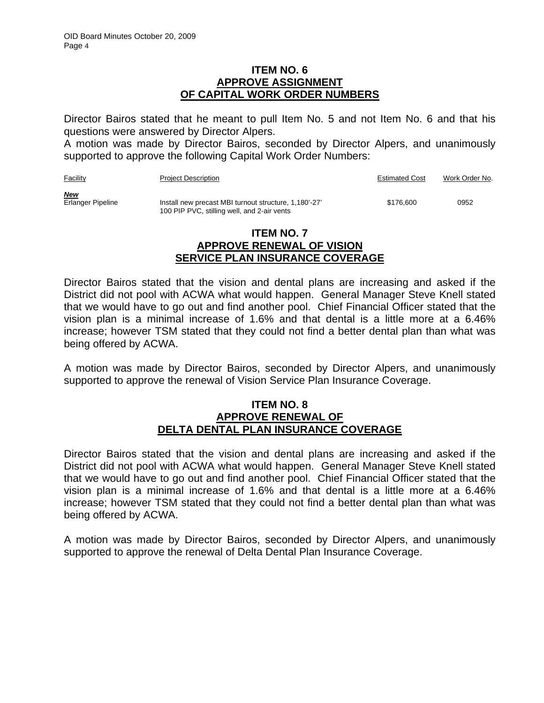## **ITEM NO. 6 APPROVE ASSIGNMENT OF CAPITAL WORK ORDER NUMBERS**

Director Bairos stated that he meant to pull Item No. 5 and not Item No. 6 and that his questions were answered by Director Alpers.

A motion was made by Director Bairos, seconded by Director Alpers, and unanimously supported to approve the following Capital Work Order Numbers:

| Facility                        | <b>Project Description</b>                                                                           | <b>Estimated Cost</b> | Work Order No. |
|---------------------------------|------------------------------------------------------------------------------------------------------|-----------------------|----------------|
| <u>New</u><br>Erlanger Pipeline | Install new precast MBI turnout structure, 1,180'-27'<br>100 PIP PVC, stilling well, and 2-air vents | \$176,600             | 0952           |

#### **ITEM NO. 7 APPROVE RENEWAL OF VISION SERVICE PLAN INSURANCE COVERAGE**

Director Bairos stated that the vision and dental plans are increasing and asked if the District did not pool with ACWA what would happen. General Manager Steve Knell stated that we would have to go out and find another pool. Chief Financial Officer stated that the vision plan is a minimal increase of 1.6% and that dental is a little more at a 6.46% increase; however TSM stated that they could not find a better dental plan than what was being offered by ACWA.

A motion was made by Director Bairos, seconded by Director Alpers, and unanimously supported to approve the renewal of Vision Service Plan Insurance Coverage.

#### **ITEM NO. 8 APPROVE RENEWAL OF DELTA DENTAL PLAN INSURANCE COVERAGE**

Director Bairos stated that the vision and dental plans are increasing and asked if the District did not pool with ACWA what would happen. General Manager Steve Knell stated that we would have to go out and find another pool. Chief Financial Officer stated that the vision plan is a minimal increase of 1.6% and that dental is a little more at a 6.46% increase; however TSM stated that they could not find a better dental plan than what was being offered by ACWA.

A motion was made by Director Bairos, seconded by Director Alpers, and unanimously supported to approve the renewal of Delta Dental Plan Insurance Coverage.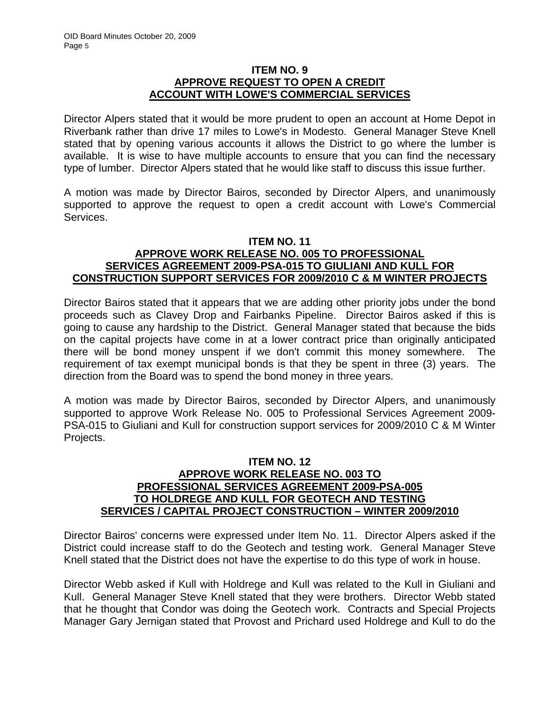# **ITEM NO. 9 APPROVE REQUEST TO OPEN A CREDIT ACCOUNT WITH LOWE'S COMMERCIAL SERVICES**

Director Alpers stated that it would be more prudent to open an account at Home Depot in Riverbank rather than drive 17 miles to Lowe's in Modesto. General Manager Steve Knell stated that by opening various accounts it allows the District to go where the lumber is available. It is wise to have multiple accounts to ensure that you can find the necessary type of lumber. Director Alpers stated that he would like staff to discuss this issue further.

A motion was made by Director Bairos, seconded by Director Alpers, and unanimously supported to approve the request to open a credit account with Lowe's Commercial Services.

#### **ITEM NO. 11**

# **APPROVE WORK RELEASE NO. 005 TO PROFESSIONAL SERVICES AGREEMENT 2009-PSA-015 TO GIULIANI AND KULL FOR CONSTRUCTION SUPPORT SERVICES FOR 2009/2010 C & M WINTER PROJECTS**

Director Bairos stated that it appears that we are adding other priority jobs under the bond proceeds such as Clavey Drop and Fairbanks Pipeline. Director Bairos asked if this is going to cause any hardship to the District. General Manager stated that because the bids on the capital projects have come in at a lower contract price than originally anticipated there will be bond money unspent if we don't commit this money somewhere. The requirement of tax exempt municipal bonds is that they be spent in three (3) years. The direction from the Board was to spend the bond money in three years.

A motion was made by Director Bairos, seconded by Director Alpers, and unanimously supported to approve Work Release No. 005 to Professional Services Agreement 2009- PSA-015 to Giuliani and Kull for construction support services for 2009/2010 C & M Winter Projects.

### **ITEM NO. 12 APPROVE WORK RELEASE NO. 003 TO PROFESSIONAL SERVICES AGREEMENT 2009-PSA-005 TO HOLDREGE AND KULL FOR GEOTECH AND TESTING SERVICES / CAPITAL PROJECT CONSTRUCTION – WINTER 2009/2010**

Director Bairos' concerns were expressed under Item No. 11. Director Alpers asked if the District could increase staff to do the Geotech and testing work. General Manager Steve Knell stated that the District does not have the expertise to do this type of work in house.

Director Webb asked if Kull with Holdrege and Kull was related to the Kull in Giuliani and Kull. General Manager Steve Knell stated that they were brothers. Director Webb stated that he thought that Condor was doing the Geotech work. Contracts and Special Projects Manager Gary Jernigan stated that Provost and Prichard used Holdrege and Kull to do the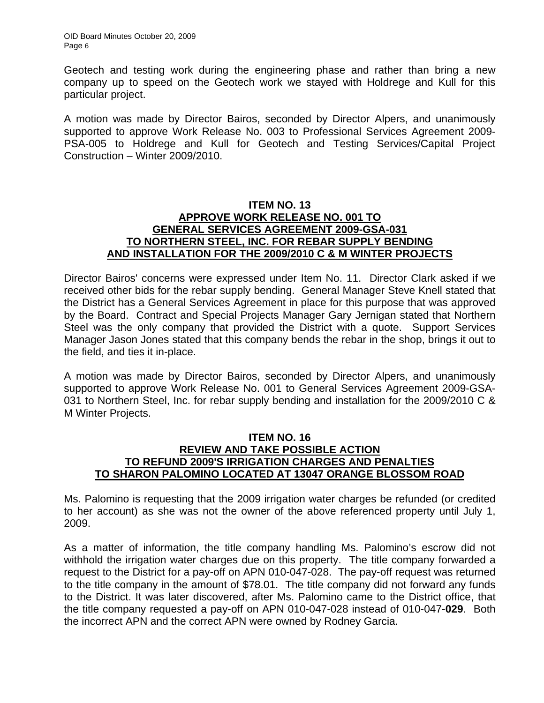Geotech and testing work during the engineering phase and rather than bring a new company up to speed on the Geotech work we stayed with Holdrege and Kull for this particular project.

A motion was made by Director Bairos, seconded by Director Alpers, and unanimously supported to approve Work Release No. 003 to Professional Services Agreement 2009- PSA-005 to Holdrege and Kull for Geotech and Testing Services/Capital Project Construction – Winter 2009/2010.

# **ITEM NO. 13 APPROVE WORK RELEASE NO. 001 TO GENERAL SERVICES AGREEMENT 2009-GSA-031 TO NORTHERN STEEL, INC. FOR REBAR SUPPLY BENDING AND INSTALLATION FOR THE 2009/2010 C & M WINTER PROJECTS**

Director Bairos' concerns were expressed under Item No. 11. Director Clark asked if we received other bids for the rebar supply bending. General Manager Steve Knell stated that the District has a General Services Agreement in place for this purpose that was approved by the Board. Contract and Special Projects Manager Gary Jernigan stated that Northern Steel was the only company that provided the District with a quote. Support Services Manager Jason Jones stated that this company bends the rebar in the shop, brings it out to the field, and ties it in-place.

A motion was made by Director Bairos, seconded by Director Alpers, and unanimously supported to approve Work Release No. 001 to General Services Agreement 2009-GSA-031 to Northern Steel, Inc. for rebar supply bending and installation for the 2009/2010 C & M Winter Projects.

# **ITEM NO. 16 REVIEW AND TAKE POSSIBLE ACTION TO REFUND 2009'S IRRIGATION CHARGES AND PENALTIES TO SHARON PALOMINO LOCATED AT 13047 ORANGE BLOSSOM ROAD**

Ms. Palomino is requesting that the 2009 irrigation water charges be refunded (or credited to her account) as she was not the owner of the above referenced property until July 1, 2009.

As a matter of information, the title company handling Ms. Palomino's escrow did not withhold the irrigation water charges due on this property. The title company forwarded a request to the District for a pay-off on APN 010-047-028. The pay-off request was returned to the title company in the amount of \$78.01. The title company did not forward any funds to the District. It was later discovered, after Ms. Palomino came to the District office, that the title company requested a pay-off on APN 010-047-028 instead of 010-047-**029**. Both the incorrect APN and the correct APN were owned by Rodney Garcia.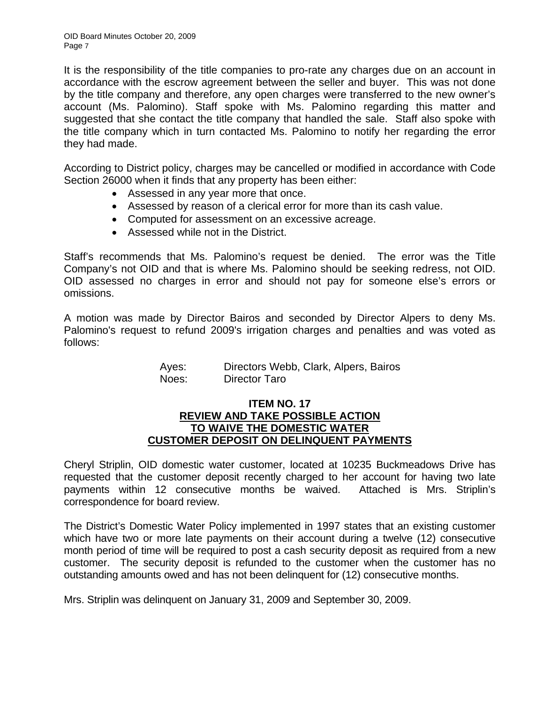It is the responsibility of the title companies to pro-rate any charges due on an account in accordance with the escrow agreement between the seller and buyer. This was not done by the title company and therefore, any open charges were transferred to the new owner's account (Ms. Palomino). Staff spoke with Ms. Palomino regarding this matter and suggested that she contact the title company that handled the sale. Staff also spoke with the title company which in turn contacted Ms. Palomino to notify her regarding the error they had made.

According to District policy, charges may be cancelled or modified in accordance with Code Section 26000 when it finds that any property has been either:

- Assessed in any year more that once.
- Assessed by reason of a clerical error for more than its cash value.
- Computed for assessment on an excessive acreage.
- Assessed while not in the District.

Staff's recommends that Ms. Palomino's request be denied. The error was the Title Company's not OID and that is where Ms. Palomino should be seeking redress, not OID. OID assessed no charges in error and should not pay for someone else's errors or omissions.

A motion was made by Director Bairos and seconded by Director Alpers to deny Ms. Palomino's request to refund 2009's irrigation charges and penalties and was voted as follows:

| Ayes: | Directors Webb, Clark, Alpers, Bairos |
|-------|---------------------------------------|
| Noes: | Director Taro                         |

#### **ITEM NO. 17 REVIEW AND TAKE POSSIBLE ACTION TO WAIVE THE DOMESTIC WATER CUSTOMER DEPOSIT ON DELINQUENT PAYMENTS**

Cheryl Striplin, OID domestic water customer, located at 10235 Buckmeadows Drive has requested that the customer deposit recently charged to her account for having two late payments within 12 consecutive months be waived. Attached is Mrs. Striplin's correspondence for board review.

The District's Domestic Water Policy implemented in 1997 states that an existing customer which have two or more late payments on their account during a twelve (12) consecutive month period of time will be required to post a cash security deposit as required from a new customer. The security deposit is refunded to the customer when the customer has no outstanding amounts owed and has not been delinquent for (12) consecutive months.

Mrs. Striplin was delinquent on January 31, 2009 and September 30, 2009.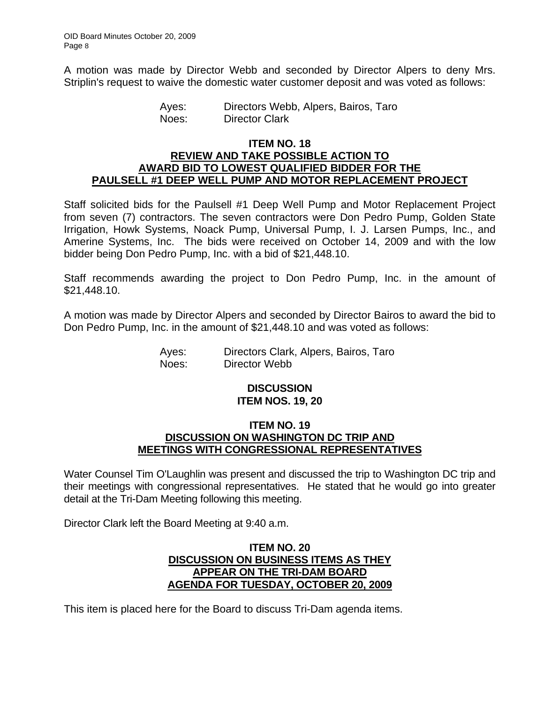A motion was made by Director Webb and seconded by Director Alpers to deny Mrs. Striplin's request to waive the domestic water customer deposit and was voted as follows:

> Ayes: Directors Webb, Alpers, Bairos, Taro Noes: Director Clark

#### **ITEM NO. 18 REVIEW AND TAKE POSSIBLE ACTION TO AWARD BID TO LOWEST QUALIFIED BIDDER FOR THE PAULSELL #1 DEEP WELL PUMP AND MOTOR REPLACEMENT PROJECT**

Staff solicited bids for the Paulsell #1 Deep Well Pump and Motor Replacement Project from seven (7) contractors. The seven contractors were Don Pedro Pump, Golden State Irrigation, Howk Systems, Noack Pump, Universal Pump, I. J. Larsen Pumps, Inc., and Amerine Systems, Inc. The bids were received on October 14, 2009 and with the low bidder being Don Pedro Pump, Inc. with a bid of \$21,448.10.

Staff recommends awarding the project to Don Pedro Pump, Inc. in the amount of \$21,448.10.

A motion was made by Director Alpers and seconded by Director Bairos to award the bid to Don Pedro Pump, Inc. in the amount of \$21,448.10 and was voted as follows:

> Ayes: Directors Clark, Alpers, Bairos, Taro Noes: Director Webb

# **DISCUSSION ITEM NOS. 19, 20**

## **ITEM NO. 19 DISCUSSION ON WASHINGTON DC TRIP AND MEETINGS WITH CONGRESSIONAL REPRESENTATIVES**

Water Counsel Tim O'Laughlin was present and discussed the trip to Washington DC trip and their meetings with congressional representatives. He stated that he would go into greater detail at the Tri-Dam Meeting following this meeting.

Director Clark left the Board Meeting at 9:40 a.m.

# **ITEM NO. 20 DISCUSSION ON BUSINESS ITEMS AS THEY APPEAR ON THE TRI-DAM BOARD AGENDA FOR TUESDAY, OCTOBER 20, 2009**

This item is placed here for the Board to discuss Tri-Dam agenda items.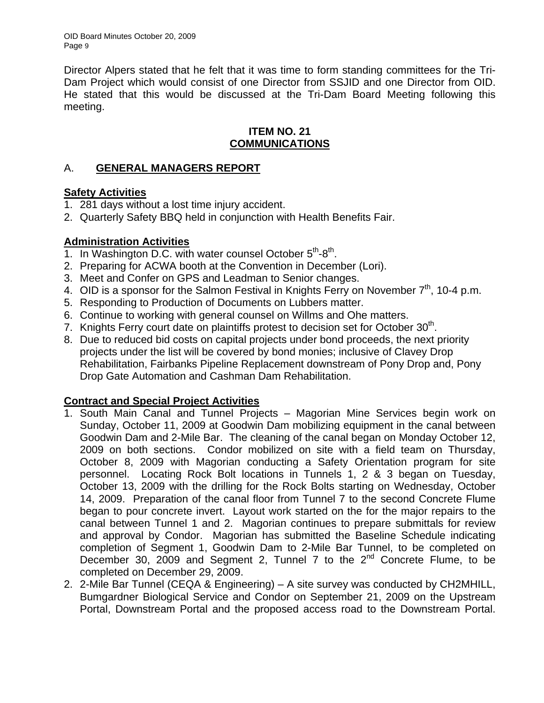OID Board Minutes October 20, 2009 Page 9

Director Alpers stated that he felt that it was time to form standing committees for the Tri-Dam Project which would consist of one Director from SSJID and one Director from OID. He stated that this would be discussed at the Tri-Dam Board Meeting following this meeting.

# **ITEM NO. 21 COMMUNICATIONS**

# A. **GENERAL MANAGERS REPORT**

# **Safety Activities**

- 1. 281 days without a lost time injury accident.
- 2. Quarterly Safety BBQ held in conjunction with Health Benefits Fair.

# **Administration Activities**

- 1. In Washington D.C. with water counsel October  $5<sup>th</sup>$ - $8<sup>th</sup>$ .
- 2. Preparing for ACWA booth at the Convention in December (Lori).
- 3. Meet and Confer on GPS and Leadman to Senior changes.
- 4. OID is a sponsor for the Salmon Festival in Knights Ferry on November  $7<sup>th</sup>$ , 10-4 p.m.
- 5. Responding to Production of Documents on Lubbers matter.
- 6. Continue to working with general counsel on Willms and Ohe matters.
- 7. Knights Ferry court date on plaintiffs protest to decision set for October 30<sup>th</sup>.
- 8. Due to reduced bid costs on capital projects under bond proceeds, the next priority projects under the list will be covered by bond monies; inclusive of Clavey Drop Rehabilitation, Fairbanks Pipeline Replacement downstream of Pony Drop and, Pony Drop Gate Automation and Cashman Dam Rehabilitation.

# **Contract and Special Project Activities**

- 1. South Main Canal and Tunnel Projects Magorian Mine Services begin work on Sunday, October 11, 2009 at Goodwin Dam mobilizing equipment in the canal between Goodwin Dam and 2-Mile Bar. The cleaning of the canal began on Monday October 12, 2009 on both sections. Condor mobilized on site with a field team on Thursday, October 8, 2009 with Magorian conducting a Safety Orientation program for site personnel. Locating Rock Bolt locations in Tunnels 1, 2 & 3 began on Tuesday, October 13, 2009 with the drilling for the Rock Bolts starting on Wednesday, October 14, 2009. Preparation of the canal floor from Tunnel 7 to the second Concrete Flume began to pour concrete invert. Layout work started on the for the major repairs to the canal between Tunnel 1 and 2. Magorian continues to prepare submittals for review and approval by Condor. Magorian has submitted the Baseline Schedule indicating completion of Segment 1, Goodwin Dam to 2-Mile Bar Tunnel, to be completed on December 30, 2009 and Segment 2, Tunnel 7 to the  $2^{nd}$  Concrete Flume, to be completed on December 29, 2009.
- 2. 2-Mile Bar Tunnel (CEQA & Engineering) A site survey was conducted by CH2MHILL, Bumgardner Biological Service and Condor on September 21, 2009 on the Upstream Portal, Downstream Portal and the proposed access road to the Downstream Portal.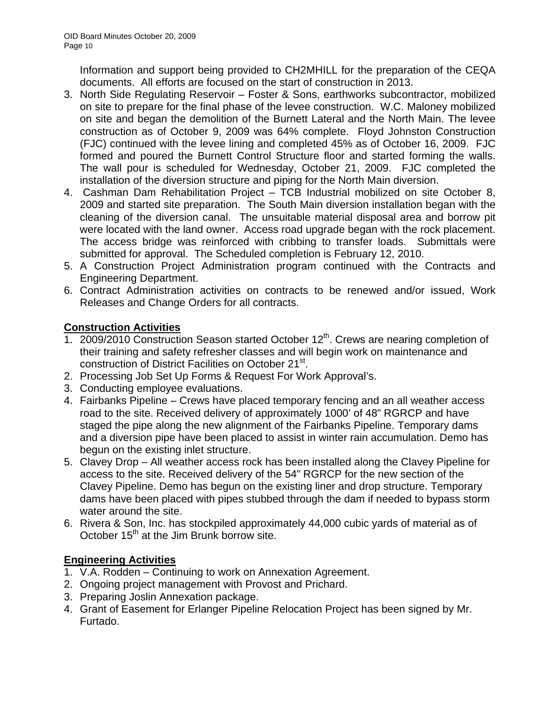Information and support being provided to CH2MHILL for the preparation of the CEQA documents. All efforts are focused on the start of construction in 2013.

- 3. North Side Regulating Reservoir Foster & Sons, earthworks subcontractor, mobilized on site to prepare for the final phase of the levee construction. W.C. Maloney mobilized on site and began the demolition of the Burnett Lateral and the North Main. The levee construction as of October 9, 2009 was 64% complete. Floyd Johnston Construction (FJC) continued with the levee lining and completed 45% as of October 16, 2009. FJC formed and poured the Burnett Control Structure floor and started forming the walls. The wall pour is scheduled for Wednesday, October 21, 2009. FJC completed the installation of the diversion structure and piping for the North Main diversion.
- 4. Cashman Dam Rehabilitation Project TCB Industrial mobilized on site October 8, 2009 and started site preparation. The South Main diversion installation began with the cleaning of the diversion canal. The unsuitable material disposal area and borrow pit were located with the land owner. Access road upgrade began with the rock placement. The access bridge was reinforced with cribbing to transfer loads. Submittals were submitted for approval. The Scheduled completion is February 12, 2010.
- 5. A Construction Project Administration program continued with the Contracts and Engineering Department.
- 6. Contract Administration activities on contracts to be renewed and/or issued, Work Releases and Change Orders for all contracts.

# **Construction Activities**

- 1. 2009/2010 Construction Season started October  $12<sup>th</sup>$ . Crews are nearing completion of their training and safety refresher classes and will begin work on maintenance and construction of District Facilities on October 21<sup>st</sup>.
- 2. Processing Job Set Up Forms & Request For Work Approval's.
- 3. Conducting employee evaluations.
- 4. Fairbanks Pipeline Crews have placed temporary fencing and an all weather access road to the site. Received delivery of approximately 1000' of 48" RGRCP and have staged the pipe along the new alignment of the Fairbanks Pipeline. Temporary dams and a diversion pipe have been placed to assist in winter rain accumulation. Demo has begun on the existing inlet structure.
- 5. Clavey Drop All weather access rock has been installed along the Clavey Pipeline for access to the site. Received delivery of the 54" RGRCP for the new section of the Clavey Pipeline. Demo has begun on the existing liner and drop structure. Temporary dams have been placed with pipes stubbed through the dam if needed to bypass storm water around the site.
- 6. Rivera & Son, Inc. has stockpiled approximately 44,000 cubic yards of material as of October  $15<sup>th</sup>$  at the Jim Brunk borrow site.

# **Engineering Activities**

- 1. V.A. Rodden Continuing to work on Annexation Agreement.
- 2. Ongoing project management with Provost and Prichard.
- 3. Preparing Joslin Annexation package.
- 4. Grant of Easement for Erlanger Pipeline Relocation Project has been signed by Mr. Furtado.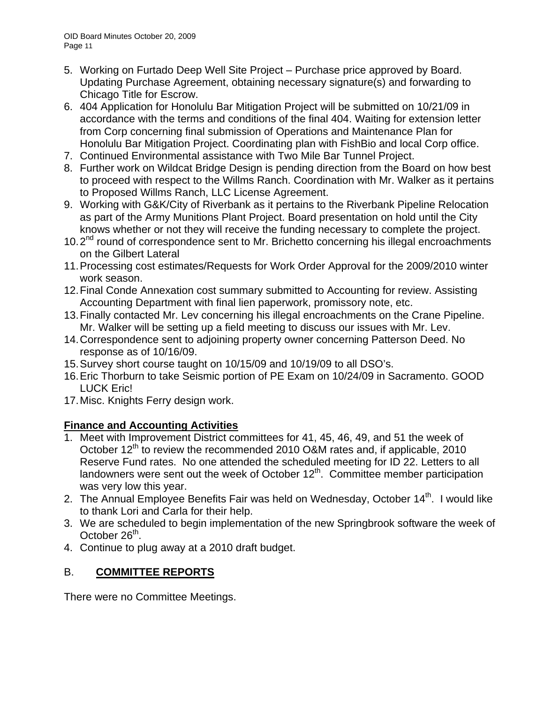- 5. Working on Furtado Deep Well Site Project Purchase price approved by Board. Updating Purchase Agreement, obtaining necessary signature(s) and forwarding to Chicago Title for Escrow.
- 6. 404 Application for Honolulu Bar Mitigation Project will be submitted on 10/21/09 in accordance with the terms and conditions of the final 404. Waiting for extension letter from Corp concerning final submission of Operations and Maintenance Plan for Honolulu Bar Mitigation Project. Coordinating plan with FishBio and local Corp office.
- 7. Continued Environmental assistance with Two Mile Bar Tunnel Project.
- 8. Further work on Wildcat Bridge Design is pending direction from the Board on how best to proceed with respect to the Willms Ranch. Coordination with Mr. Walker as it pertains to Proposed Willms Ranch, LLC License Agreement.
- 9. Working with G&K/City of Riverbank as it pertains to the Riverbank Pipeline Relocation as part of the Army Munitions Plant Project. Board presentation on hold until the City knows whether or not they will receive the funding necessary to complete the project.
- $10.2<sup>nd</sup>$  round of correspondence sent to Mr. Brichetto concerning his illegal encroachments on the Gilbert Lateral
- 11. Processing cost estimates/Requests for Work Order Approval for the 2009/2010 winter work season.
- 12. Final Conde Annexation cost summary submitted to Accounting for review. Assisting Accounting Department with final lien paperwork, promissory note, etc.
- 13. Finally contacted Mr. Lev concerning his illegal encroachments on the Crane Pipeline. Mr. Walker will be setting up a field meeting to discuss our issues with Mr. Lev.
- 14. Correspondence sent to adjoining property owner concerning Patterson Deed. No response as of 10/16/09.
- 15. Survey short course taught on 10/15/09 and 10/19/09 to all DSO's.
- 16. Eric Thorburn to take Seismic portion of PE Exam on 10/24/09 in Sacramento. GOOD LUCK Eric!
- 17. Misc. Knights Ferry design work.

# **Finance and Accounting Activities**

- 1. Meet with Improvement District committees for 41, 45, 46, 49, and 51 the week of October  $12<sup>th</sup>$  to review the recommended 2010 O&M rates and, if applicable, 2010 Reserve Fund rates. No one attended the scheduled meeting for ID 22. Letters to all landowners were sent out the week of October  $12<sup>th</sup>$ . Committee member participation was very low this year.
- 2. The Annual Employee Benefits Fair was held on Wednesday, October 14<sup>th</sup>. I would like to thank Lori and Carla for their help.
- 3. We are scheduled to begin implementation of the new Springbrook software the week of October  $26<sup>th</sup>$ .
- 4. Continue to plug away at a 2010 draft budget.

# B. **COMMITTEE REPORTS**

There were no Committee Meetings.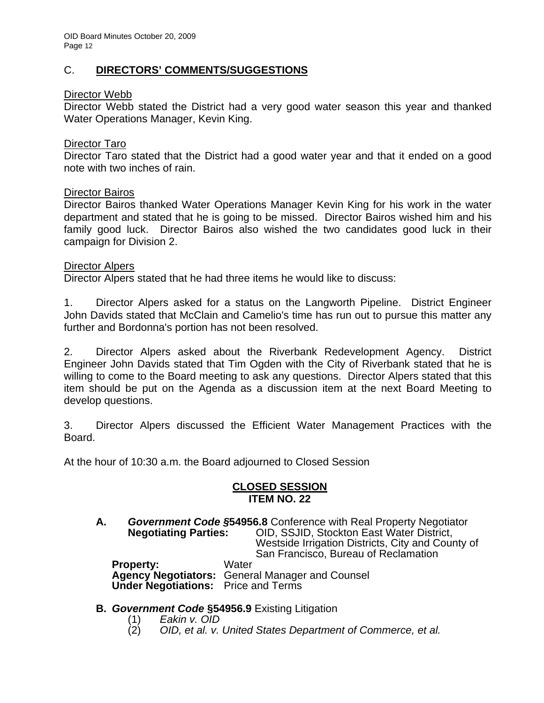# C. **DIRECTORS' COMMENTS/SUGGESTIONS**

# Director Webb

Director Webb stated the District had a very good water season this year and thanked Water Operations Manager, Kevin King.

## Director Taro

Director Taro stated that the District had a good water year and that it ended on a good note with two inches of rain.

## Director Bairos

Director Bairos thanked Water Operations Manager Kevin King for his work in the water department and stated that he is going to be missed. Director Bairos wished him and his family good luck. Director Bairos also wished the two candidates good luck in their campaign for Division 2.

#### Director Alpers

Director Alpers stated that he had three items he would like to discuss:

1. Director Alpers asked for a status on the Langworth Pipeline. District Engineer John Davids stated that McClain and Camelio's time has run out to pursue this matter any further and Bordonna's portion has not been resolved.

2. Director Alpers asked about the Riverbank Redevelopment Agency. District Engineer John Davids stated that Tim Ogden with the City of Riverbank stated that he is willing to come to the Board meeting to ask any questions. Director Alpers stated that this item should be put on the Agenda as a discussion item at the next Board Meeting to develop questions.

3. Director Alpers discussed the Efficient Water Management Practices with the Board.

At the hour of 10:30 a.m. the Board adjourned to Closed Session

## **CLOSED SESSION ITEM NO. 22**

**A.** *Government Code §***54956.8** Conference with Real Property Negotiator **Negotiating Parties:** OID, SSJID, Stockton East Water District, Westside Irrigation Districts, City and County of San Francisco, Bureau of Reclamation **Property:** Water **Agency Negotiators:** General Manager and Counsel  **Under Negotiations:** Price and Terms

**B.** *Government Code* **§54956.9** Existing Litigation

- 
- (1) *Eakin v. OID*  (2) *OID, et al. v. United States Department of Commerce, et al.*